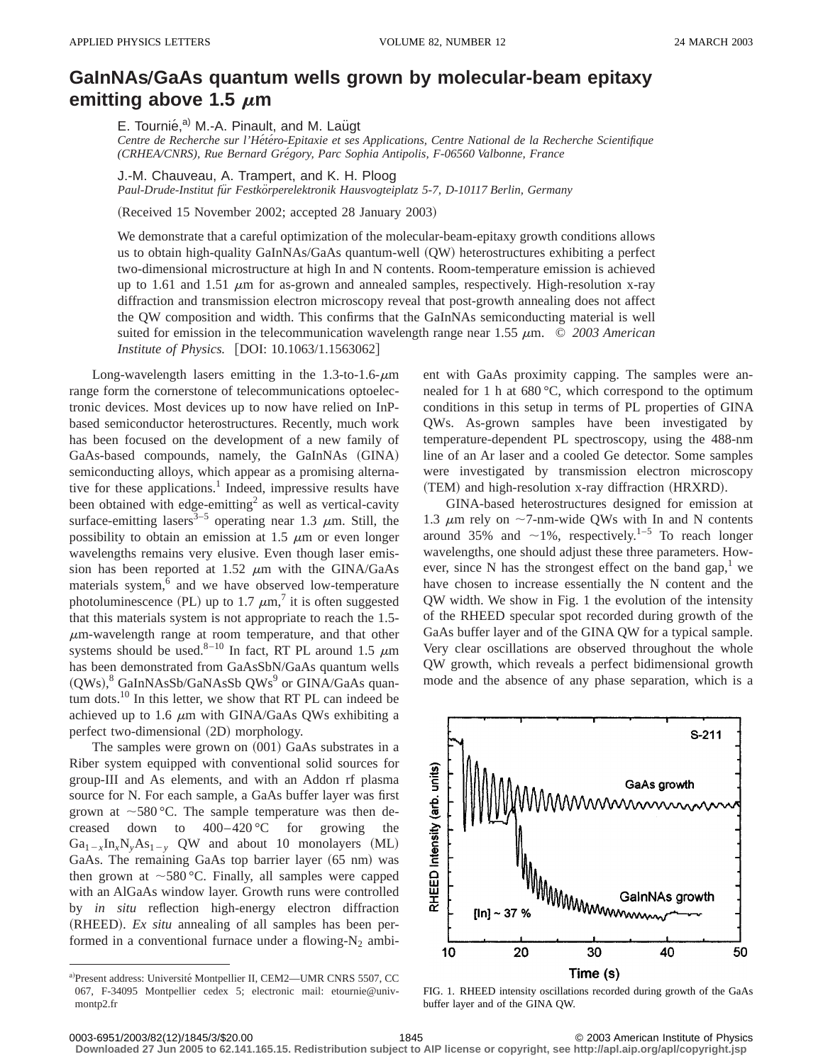## **GaInNAsÕGaAs quantum wells grown by molecular-beam epitaxy emitting above 1.5**  $\mu$ m

E. Tournié,<sup>a)</sup> M.-A. Pinault, and M. Laügt

*Centre de Recherche sur l'He´te´ro-Epitaxie et ses Applications, Centre National de la Recherche Scientifique (CRHEA/CNRS), Rue Bernard Gre´gory, Parc Sophia Antipolis, F-06560 Valbonne, France*

J.-M. Chauveau, A. Trampert, and K. H. Ploog

*Paul-Drude-Institut fu¨r Festko¨rperelektronik Hausvogteiplatz 5-7, D-10117 Berlin, Germany*

(Received 15 November 2002; accepted 28 January 2003)

We demonstrate that a careful optimization of the molecular-beam-epitaxy growth conditions allows us to obtain high-quality GaInNAs/GaAs quantum-well (QW) heterostructures exhibiting a perfect two-dimensional microstructure at high In and N contents. Room-temperature emission is achieved up to 1.61 and 1.51  $\mu$ m for as-grown and annealed samples, respectively. High-resolution x-ray diffraction and transmission electron microscopy reveal that post-growth annealing does not affect the QW composition and width. This confirms that the GaInNAs semiconducting material is well suited for emission in the telecommunication wavelength range near  $1.55 \mu m$ .  $\odot$  2003 American *Institute of Physics.* [DOI: 10.1063/1.1563062]

Long-wavelength lasers emitting in the  $1.3$ -to- $1.6$ - $\mu$ m range form the cornerstone of telecommunications optoelectronic devices. Most devices up to now have relied on InPbased semiconductor heterostructures. Recently, much work has been focused on the development of a new family of GaAs-based compounds, namely, the GaInNAs (GINA) semiconducting alloys, which appear as a promising alternative for these applications.<sup>1</sup> Indeed, impressive results have been obtained with edge-emitting<sup>2</sup> as well as vertical-cavity surface-emitting lasers<sup>3-5</sup> operating near 1.3  $\mu$ m. Still, the possibility to obtain an emission at 1.5  $\mu$ m or even longer wavelengths remains very elusive. Even though laser emission has been reported at 1.52  $\mu$ m with the GINA/GaAs materials system, $6$  and we have observed low-temperature photoluminescence (PL) up to 1.7  $\mu$ m,<sup>7</sup> it is often suggested that this materials system is not appropriate to reach the 1.5-  $\mu$ m-wavelength range at room temperature, and that other systems should be used.<sup>8–10</sup> In fact, RT PL around 1.5  $\mu$ m has been demonstrated from GaAsSbN/GaAs quantum wells (QWs),<sup>8</sup> GaInNAsSb/GaNAsSb QWs<sup>9</sup> or GINA/GaAs quantum dots. $^{10}$  In this letter, we show that RT PL can indeed be achieved up to 1.6  $\mu$ m with GINA/GaAs QWs exhibiting a perfect two-dimensional (2D) morphology.

The samples were grown on  $(001)$  GaAs substrates in a Riber system equipped with conventional solid sources for group-III and As elements, and with an Addon rf plasma source for N. For each sample, a GaAs buffer layer was first grown at  $\sim$  580 °C. The sample temperature was then decreased down to  $400-420$  °C for growing the  $Ga_{1-x}In_xN_yAs_{1-y}$  QW and about 10 monolayers (ML) GaAs. The remaining GaAs top barrier layer (65 nm) was then grown at  $\sim$  580 °C. Finally, all samples were capped with an AlGaAs window layer. Growth runs were controlled by *in situ* reflection high-energy electron diffraction (RHEED). *Ex situ* annealing of all samples has been performed in a conventional furnace under a flowing- $N_2$  ambient with GaAs proximity capping. The samples were annealed for 1 h at 680 °C, which correspond to the optimum conditions in this setup in terms of PL properties of GINA QWs. As-grown samples have been investigated by temperature-dependent PL spectroscopy, using the 488-nm line of an Ar laser and a cooled Ge detector. Some samples were investigated by transmission electron microscopy (TEM) and high-resolution x-ray diffraction (HRXRD).

GINA-based heterostructures designed for emission at 1.3  $\mu$ m rely on ~7-nm-wide QWs with In and N contents around 35% and  $\sim$ 1%, respectively.<sup>1–5</sup> To reach longer wavelengths, one should adjust these three parameters. However, since N has the strongest effect on the band gap,<sup>1</sup> we have chosen to increase essentially the N content and the QW width. We show in Fig. 1 the evolution of the intensity of the RHEED specular spot recorded during growth of the GaAs buffer layer and of the GINA QW for a typical sample. Very clear oscillations are observed throughout the whole QW growth, which reveals a perfect bidimensional growth mode and the absence of any phase separation, which is a



FIG. 1. RHEED intensity oscillations recorded during growth of the GaAs buffer layer and of the GINA QW.

**Downloaded 27 Jun 2005 to 62.141.165.15. Redistribution subject to AIP license or copyright, see http://apl.aip.org/apl/copyright.jsp**

a)Present address: Université Montpellier II, CEM2-UMR CNRS 5507, CC 067, F-34095 Montpellier cedex 5; electronic mail: etournie@univmontp2.fr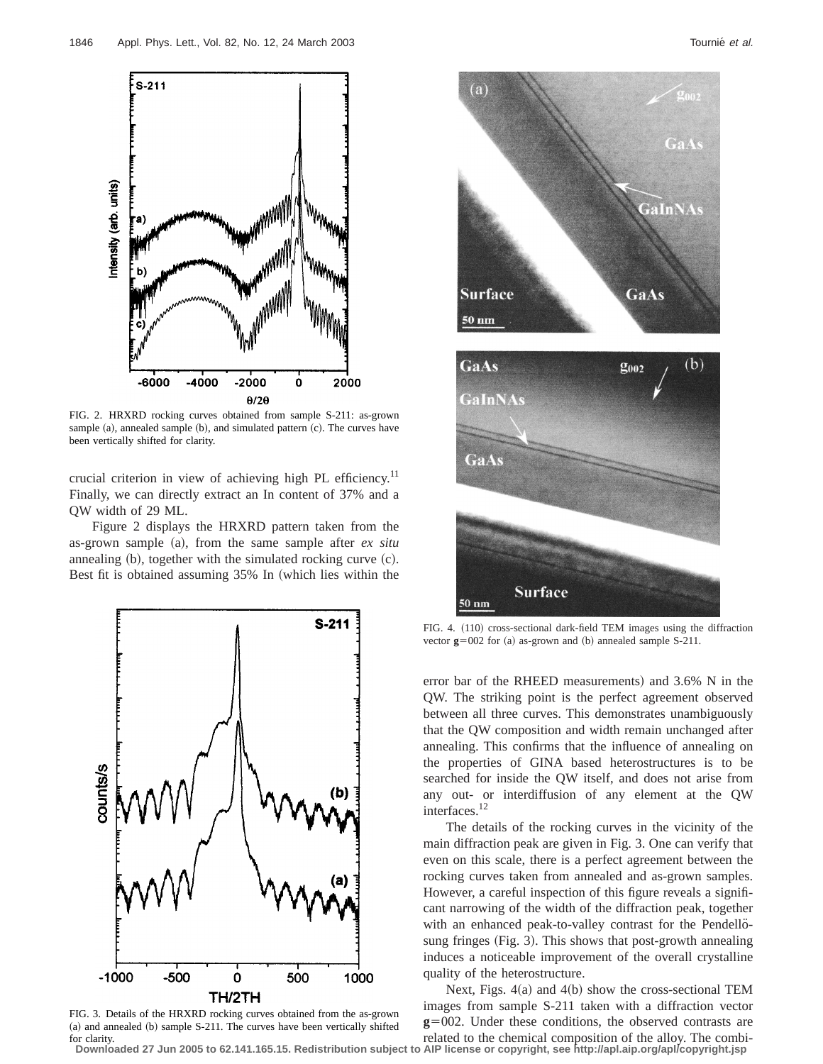

FIG. 2. HRXRD rocking curves obtained from sample S-211: as-grown sample (a), annealed sample (b), and simulated pattern (c). The curves have been vertically shifted for clarity.

crucial criterion in view of achieving high PL efficiency.<sup>11</sup> Finally, we can directly extract an In content of 37% and a QW width of 29 ML.

Figure 2 displays the HRXRD pattern taken from the as-grown sample (a), from the same sample after *ex situ* annealing  $(b)$ , together with the simulated rocking curve  $(c)$ . Best fit is obtained assuming 35% In (which lies within the



FIG. 3. Details of the HRXRD rocking curves obtained from the as-grown (a) and annealed (b) sample S-211. The curves have been vertically shifted for clarity.

**Downloaded 27 Jun 2005 to 62.141.165.15. Redistribution subject to AIP license or copyright, see http://apl.aip.org/apl/copyright.jsp**



n

50 nm

GaAs

GaInNAs GaAs **Surface**  $50 \text{ nm}$ 

FIG. 4. (110) cross-sectional dark-field TEM images using the diffraction vector  $g=002$  for (a) as-grown and (b) annealed sample S-211.

error bar of the RHEED measurements) and  $3.6\%$  N in the QW. The striking point is the perfect agreement observed between all three curves. This demonstrates unambiguously that the QW composition and width remain unchanged after annealing. This confirms that the influence of annealing on the properties of GINA based heterostructures is to be searched for inside the QW itself, and does not arise from any out- or interdiffusion of any element at the QW interfaces.12

The details of the rocking curves in the vicinity of the main diffraction peak are given in Fig. 3. One can verify that even on this scale, there is a perfect agreement between the rocking curves taken from annealed and as-grown samples. However, a careful inspection of this figure reveals a significant narrowing of the width of the diffraction peak, together with an enhanced peak-to-valley contrast for the Pendellosung fringes (Fig. 3). This shows that post-growth annealing induces a noticeable improvement of the overall crystalline quality of the heterostructure.

Next, Figs.  $4(a)$  and  $4(b)$  show the cross-sectional TEM images from sample S-211 taken with a diffraction vector  $g=002$ . Under these conditions, the observed contrasts are related to the chemical composition of the alloy. The combi-